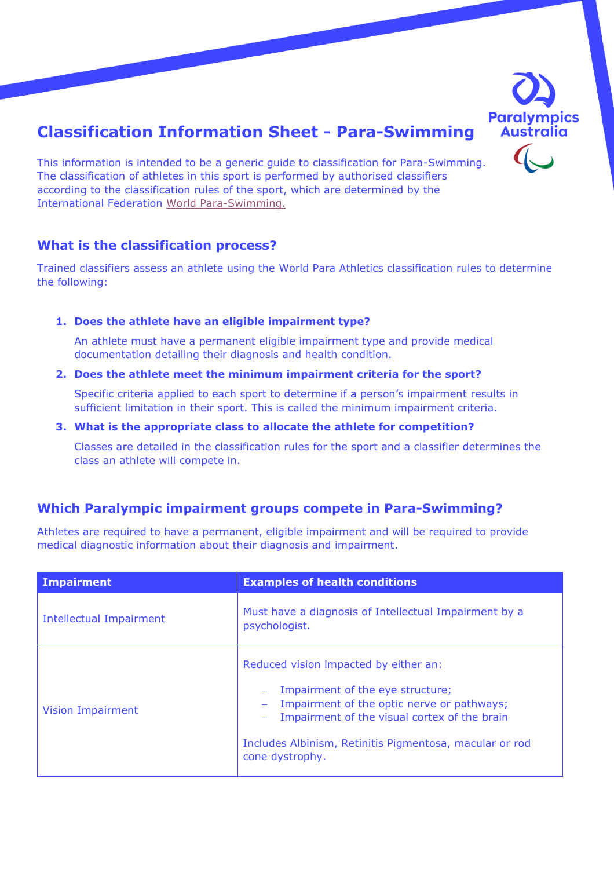

# **Classification Information Sheet - Para-Swimming**

This information is intended to be a generic guide to classification for Para-Swimming. The classification of athletes in this sport is performed by authorised classifiers according to the classification rules of the sport, which are determined by the International Federation [World Para-Swimming.](http://www.paralympic.org/Swimming)

### **What is the classification process?**

Trained classifiers assess an athlete using the World Para Athletics classification rules to determine the following:

#### **1. Does the athlete have an eligible impairment type?**

An athlete must have a permanent eligible impairment type and provide medical documentation detailing their diagnosis and health condition.

#### **2. Does the athlete meet the minimum impairment criteria for the sport?**

Specific criteria applied to each sport to determine if a person's impairment results in sufficient limitation in their sport. This is called the minimum impairment criteria.

#### **3. What is the appropriate class to allocate the athlete for competition?**

Classes are detailed in the classification rules for the sport and a classifier determines the class an athlete will compete in.

### **Which Paralympic impairment groups compete in Para-Swimming?**

Athletes are required to have a permanent, eligible impairment and will be required to provide medical diagnostic information about their diagnosis and impairment.

| <b>Impairment</b>        | <b>Examples of health conditions</b>                                                                                                                                                                                                                  |  |
|--------------------------|-------------------------------------------------------------------------------------------------------------------------------------------------------------------------------------------------------------------------------------------------------|--|
| Intellectual Impairment  | Must have a diagnosis of Intellectual Impairment by a<br>psychologist.                                                                                                                                                                                |  |
| <b>Vision Impairment</b> | Reduced vision impacted by either an:<br>Impairment of the eye structure;<br>Impairment of the optic nerve or pathways;<br>Impairment of the visual cortex of the brain<br>Includes Albinism, Retinitis Pigmentosa, macular or rod<br>cone dystrophy. |  |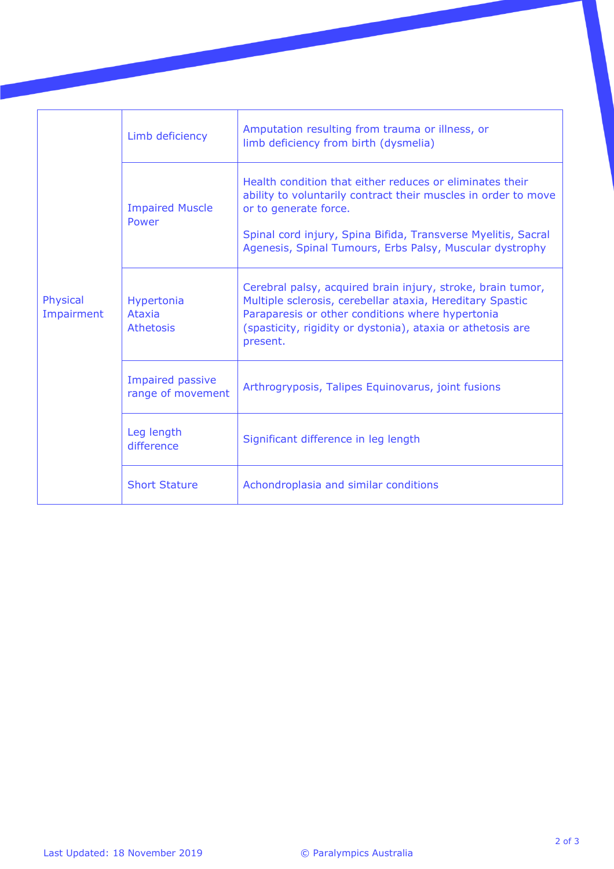|                        | Limb deficiency                          | Amputation resulting from trauma or illness, or<br>limb deficiency from birth (dysmelia)                                                                                                                                                                                         |
|------------------------|------------------------------------------|----------------------------------------------------------------------------------------------------------------------------------------------------------------------------------------------------------------------------------------------------------------------------------|
|                        | <b>Impaired Muscle</b><br>Power          | Health condition that either reduces or eliminates their<br>ability to voluntarily contract their muscles in order to move<br>or to generate force.<br>Spinal cord injury, Spina Bifida, Transverse Myelitis, Sacral<br>Agenesis, Spinal Tumours, Erbs Palsy, Muscular dystrophy |
| Physical<br>Impairment | Hypertonia<br>Ataxia<br><b>Athetosis</b> | Cerebral palsy, acquired brain injury, stroke, brain tumor,<br>Multiple sclerosis, cerebellar ataxia, Hereditary Spastic<br>Paraparesis or other conditions where hypertonia<br>(spasticity, rigidity or dystonia), ataxia or athetosis are<br>present.                          |
|                        | Impaired passive<br>range of movement    | Arthrogryposis, Talipes Equinovarus, joint fusions                                                                                                                                                                                                                               |
|                        | Leg length<br>difference                 | Significant difference in leg length                                                                                                                                                                                                                                             |
|                        | <b>Short Stature</b>                     | Achondroplasia and similar conditions                                                                                                                                                                                                                                            |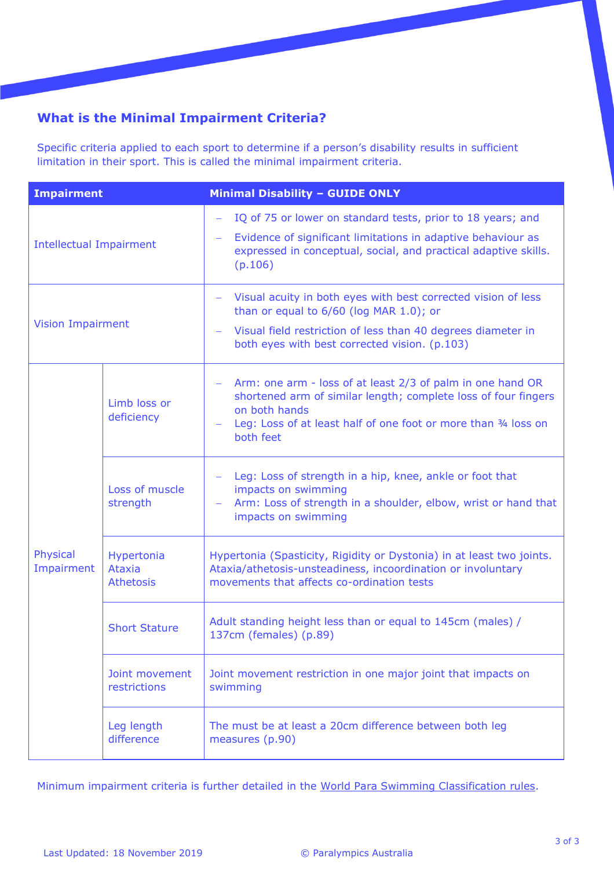# **What is the Minimal Impairment Criteria?**

Specific criteria applied to each sport to determine if a person's disability results in sufficient limitation in their sport. This is called the minimal impairment criteria.

| <b>Impairment</b>              |                                          | <b>Minimal Disability - GUIDE ONLY</b>                                                                                                                                                                                                |  |
|--------------------------------|------------------------------------------|---------------------------------------------------------------------------------------------------------------------------------------------------------------------------------------------------------------------------------------|--|
| <b>Intellectual Impairment</b> |                                          | IQ of 75 or lower on standard tests, prior to 18 years; and<br>Evidence of significant limitations in adaptive behaviour as<br>$\overline{\phantom{m}}$<br>expressed in conceptual, social, and practical adaptive skills.<br>(p.106) |  |
| <b>Vision Impairment</b>       |                                          | Visual acuity in both eyes with best corrected vision of less<br>than or equal to 6/60 (log MAR 1.0); or<br>Visual field restriction of less than 40 degrees diameter in<br>both eyes with best corrected vision. (p.103)             |  |
|                                | Limb loss or<br>deficiency               | Arm: one arm - loss of at least 2/3 of palm in one hand OR<br>shortened arm of similar length; complete loss of four fingers<br>on both hands<br>Leg: Loss of at least half of one foot or more than 34 loss on<br>both feet          |  |
| <b>Physical</b><br>Impairment  | Loss of muscle<br>strength               | Leg: Loss of strength in a hip, knee, ankle or foot that<br>impacts on swimming<br>Arm: Loss of strength in a shoulder, elbow, wrist or hand that<br>impacts on swimming                                                              |  |
|                                | Hypertonia<br>Ataxia<br><b>Athetosis</b> | Hypertonia (Spasticity, Rigidity or Dystonia) in at least two joints.<br>Ataxia/athetosis-unsteadiness, incoordination or involuntary<br>movements that affects co-ordination tests                                                   |  |
|                                | <b>Short Stature</b>                     | Adult standing height less than or equal to 145cm (males) /<br>137cm (females) (p.89)                                                                                                                                                 |  |
|                                | Joint movement<br>restrictions           | Joint movement restriction in one major joint that impacts on<br>swimming                                                                                                                                                             |  |
|                                | Leg length<br>difference                 | The must be at least a 20cm difference between both leg<br>measures (p.90)                                                                                                                                                            |  |

Minimum impairment criteria is further detailed in the [World Para Swimming](https://www.paralympic.org/sites/default/files/document/171220150814237_2017_12%2BWorld%2BPara%2BSwimming_Classification%2BRules%2Band%2BRegulations_FINAL.pdf) Classification rules.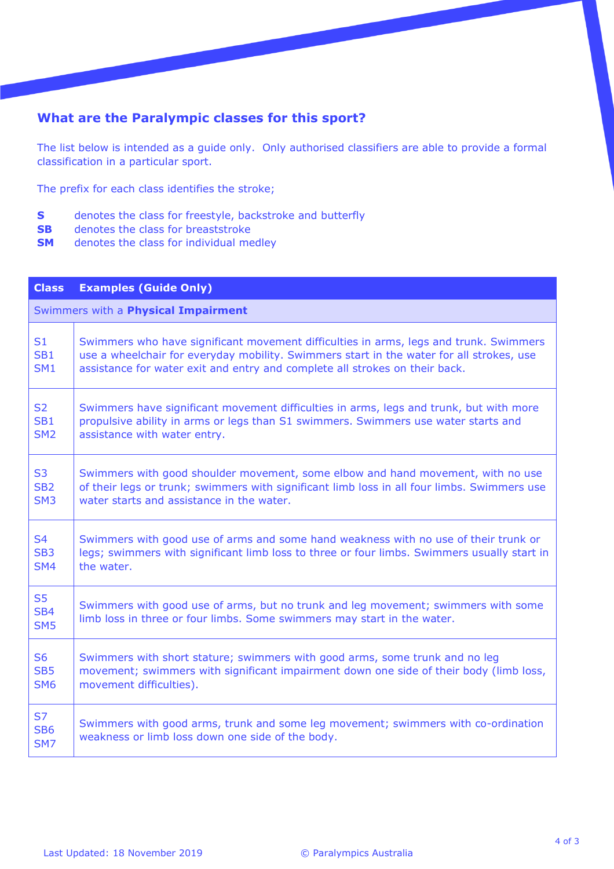## **What are the Paralympic classes for this sport?**

The list below is intended as a guide only. Only authorised classifiers are able to provide a formal classification in a particular sport.

The prefix for each class identifies the stroke;

- **S** denotes the class for freestyle, backstroke and butterfly
- **SB** denotes the class for breaststroke
- **SM** denotes the class for individual medley

| <b>Class</b>                                         | <b>Examples (Guide Only)</b>                                                                                                                                 |  |  |
|------------------------------------------------------|--------------------------------------------------------------------------------------------------------------------------------------------------------------|--|--|
|                                                      | Swimmers with a Physical Impairment                                                                                                                          |  |  |
| S <sub>1</sub>                                       | Swimmers who have significant movement difficulties in arms, legs and trunk. Swimmers                                                                        |  |  |
| SB <sub>1</sub>                                      | use a wheelchair for everyday mobility. Swimmers start in the water for all strokes, use                                                                     |  |  |
| <b>SM1</b>                                           | assistance for water exit and entry and complete all strokes on their back.                                                                                  |  |  |
| <b>S2</b>                                            | Swimmers have significant movement difficulties in arms, legs and trunk, but with more                                                                       |  |  |
| SB <sub>1</sub>                                      | propulsive ability in arms or legs than S1 swimmers. Swimmers use water starts and                                                                           |  |  |
| SM <sub>2</sub>                                      | assistance with water entry.                                                                                                                                 |  |  |
| <b>S3</b>                                            | Swimmers with good shoulder movement, some elbow and hand movement, with no use                                                                              |  |  |
| SB <sub>2</sub>                                      | of their legs or trunk; swimmers with significant limb loss in all four limbs. Swimmers use                                                                  |  |  |
| SM <sub>3</sub>                                      | water starts and assistance in the water.                                                                                                                    |  |  |
| <b>S4</b>                                            | Swimmers with good use of arms and some hand weakness with no use of their trunk or                                                                          |  |  |
| SB <sub>3</sub>                                      | legs; swimmers with significant limb loss to three or four limbs. Swimmers usually start in                                                                  |  |  |
| SM4                                                  | the water.                                                                                                                                                   |  |  |
| S <sub>5</sub><br>SB <sub>4</sub><br>SM <sub>5</sub> | Swimmers with good use of arms, but no trunk and leg movement; swimmers with some<br>limb loss in three or four limbs. Some swimmers may start in the water. |  |  |
| S <sub>6</sub>                                       | Swimmers with short stature; swimmers with good arms, some trunk and no leg                                                                                  |  |  |
| SB <sub>5</sub>                                      | movement; swimmers with significant impairment down one side of their body (limb loss,                                                                       |  |  |
| SM <sub>6</sub>                                      | movement difficulties).                                                                                                                                      |  |  |
| S7<br>SB <sub>6</sub><br>SM7                         | Swimmers with good arms, trunk and some leg movement; swimmers with co-ordination<br>weakness or limb loss down one side of the body.                        |  |  |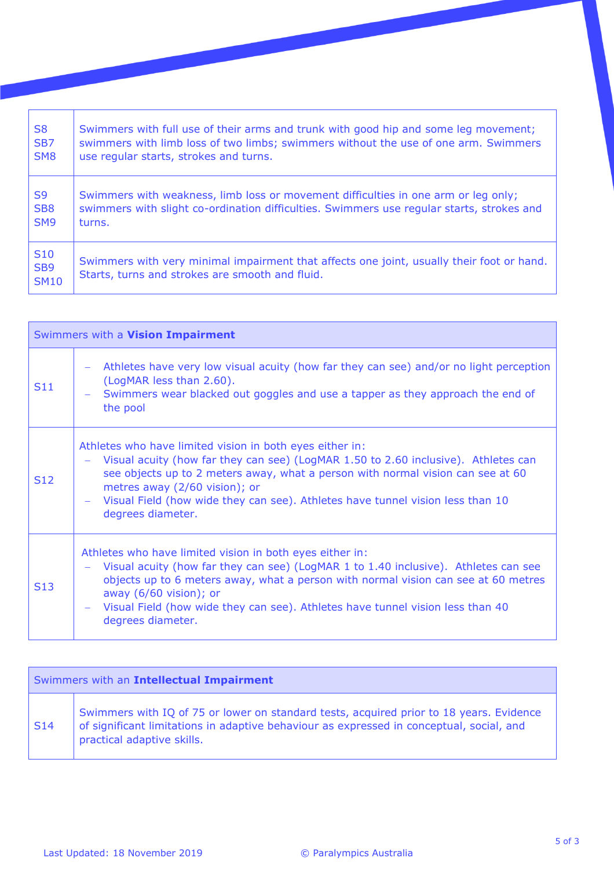| S <sub>8</sub>                   | Swimmers with full use of their arms and trunk with good hip and some leg movement;                                                          |
|----------------------------------|----------------------------------------------------------------------------------------------------------------------------------------------|
| SB <sub>7</sub>                  | swimmers with limb loss of two limbs; swimmers without the use of one arm. Swimmers                                                          |
| SM <sub>8</sub>                  | use regular starts, strokes and turns.                                                                                                       |
| S <sub>9</sub>                   | Swimmers with weakness, limb loss or movement difficulties in one arm or leg only;                                                           |
| SB <sub>8</sub>                  | swimmers with slight co-ordination difficulties. Swimmers use regular starts, strokes and                                                    |
| SM <sub>9</sub>                  | turns.                                                                                                                                       |
| <b>S10</b><br>SB9<br><b>SM10</b> | Swimmers with very minimal impairment that affects one joint, usually their foot or hand.<br>Starts, turns and strokes are smooth and fluid. |

| Swimmers with a Vision Impairment |                                                                                                                                                                                                                                                                                                                                                                                                       |  |
|-----------------------------------|-------------------------------------------------------------------------------------------------------------------------------------------------------------------------------------------------------------------------------------------------------------------------------------------------------------------------------------------------------------------------------------------------------|--|
| <b>S11</b>                        | Athletes have very low visual acuity (how far they can see) and/or no light perception<br>$\overline{\phantom{m}}$<br>(LogMAR less than 2.60).<br>Swimmers wear blacked out goggles and use a tapper as they approach the end of<br>the pool                                                                                                                                                          |  |
| S <sub>12</sub>                   | Athletes who have limited vision in both eyes either in:<br>Visual acuity (how far they can see) (LogMAR 1.50 to 2.60 inclusive). Athletes can<br>$\overline{\phantom{m}}$<br>see objects up to 2 meters away, what a person with normal vision can see at 60<br>metres away (2/60 vision); or<br>Visual Field (how wide they can see). Athletes have tunnel vision less than 10<br>degrees diameter. |  |
| S <sub>13</sub>                   | Athletes who have limited vision in both eyes either in:<br>Visual acuity (how far they can see) (LogMAR 1 to 1.40 inclusive). Athletes can see<br>$\overline{\phantom{m}}$<br>objects up to 6 meters away, what a person with normal vision can see at 60 metres<br>away $(6/60$ vision); or<br>Visual Field (how wide they can see). Athletes have tunnel vision less than 40<br>degrees diameter.  |  |

| Swimmers with an Intellectual Impairment |                                                                                                                                                                                                                   |  |
|------------------------------------------|-------------------------------------------------------------------------------------------------------------------------------------------------------------------------------------------------------------------|--|
| S14                                      | Swimmers with IQ of 75 or lower on standard tests, acquired prior to 18 years. Evidence<br>of significant limitations in adaptive behaviour as expressed in conceptual, social, and<br>practical adaptive skills. |  |